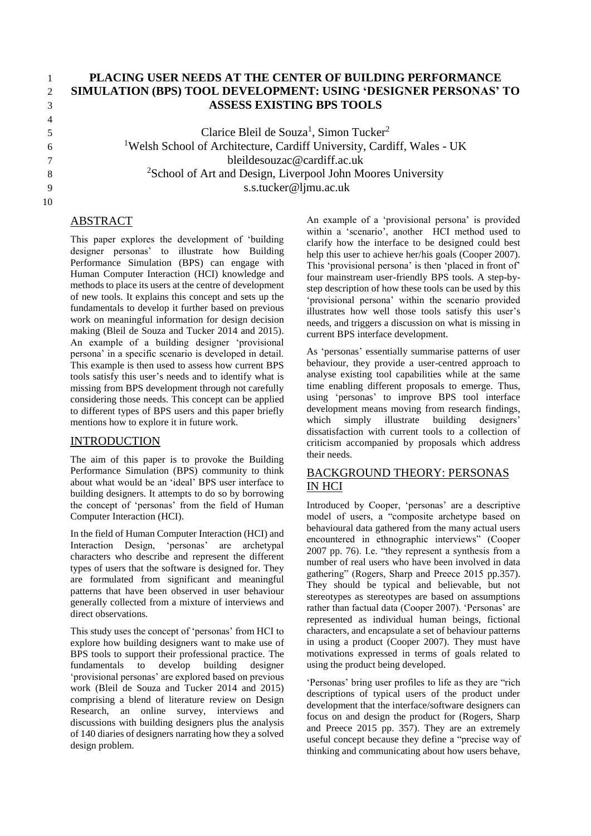# 4 5 6

## 1 **PLACING USER NEEDS AT THE CENTER OF BUILDING PERFORMANCE**  2 **SIMULATION (BPS) TOOL DEVELOPMENT: USING 'DESIGNER PERSONAS' TO**  3 **ASSESS EXISTING BPS TOOLS**

Clarice Bleil de Souza<sup>1</sup>, Simon Tucker<sup>2</sup> <sup>1</sup>Welsh School of Architecture, Cardiff University, Cardiff, Wales - UK 7 bleildesouzac@cardiff.ac.uk 8 <sup>2</sup>School of Art and Design, Liverpool John Moores University 9 s.s.tucker@ljmu.ac.uk

## 10

# ABSTRACT

This paper explores the development of 'building designer personas' to illustrate how Building Performance Simulation (BPS) can engage with Human Computer Interaction (HCI) knowledge and methods to place its users at the centre of development of new tools. It explains this concept and sets up the fundamentals to develop it further based on previous work on meaningful information for design decision making (Bleil de Souza and Tucker 2014 and 2015). An example of a building designer 'provisional persona' in a specific scenario is developed in detail. This example is then used to assess how current BPS tools satisfy this user's needs and to identify what is missing from BPS development through not carefully considering those needs. This concept can be applied to different types of BPS users and this paper briefly mentions how to explore it in future work.

## INTRODUCTION

The aim of this paper is to provoke the Building Performance Simulation (BPS) community to think about what would be an 'ideal' BPS user interface to building designers. It attempts to do so by borrowing the concept of 'personas' from the field of Human Computer Interaction (HCI).

In the field of Human Computer Interaction (HCI) and Interaction Design, 'personas' are archetypal characters who describe and represent the different types of users that the software is designed for. They are formulated from significant and meaningful patterns that have been observed in user behaviour generally collected from a mixture of interviews and direct observations.

This study uses the concept of 'personas' from HCI to explore how building designers want to make use of BPS tools to support their professional practice. The fundamentals to develop building designer 'provisional personas' are explored based on previous work (Bleil de Souza and Tucker 2014 and 2015) comprising a blend of literature review on Design Research, an online survey, interviews and discussions with building designers plus the analysis of 140 diaries of designers narrating how they a solved design problem.

An example of a 'provisional persona' is provided within a 'scenario', another HCI method used to clarify how the interface to be designed could best help this user to achieve her/his goals (Cooper 2007). This 'provisional persona' is then 'placed in front of' four mainstream user-friendly BPS tools. A step-bystep description of how these tools can be used by this 'provisional persona' within the scenario provided illustrates how well those tools satisfy this user's needs, and triggers a discussion on what is missing in current BPS interface development.

As 'personas' essentially summarise patterns of user behaviour, they provide a user-centred approach to analyse existing tool capabilities while at the same time enabling different proposals to emerge. Thus, using 'personas' to improve BPS tool interface development means moving from research findings,<br>which simply illustrate building designers' which simply illustrate building designers' dissatisfaction with current tools to a collection of criticism accompanied by proposals which address their needs.

# BACKGROUND THEORY: PERSONAS IN HCI

Introduced by Cooper, 'personas' are a descriptive model of users, a "composite archetype based on behavioural data gathered from the many actual users encountered in ethnographic interviews" (Cooper 2007 pp. 76). I.e. "they represent a synthesis from a number of real users who have been involved in data gathering" (Rogers, Sharp and Preece 2015 pp.357). They should be typical and believable, but not stereotypes as stereotypes are based on assumptions rather than factual data (Cooper 2007). 'Personas' are represented as individual human beings, fictional characters, and encapsulate a set of behaviour patterns in using a product (Cooper 2007). They must have motivations expressed in terms of goals related to using the product being developed.

'Personas' bring user profiles to life as they are "rich descriptions of typical users of the product under development that the interface/software designers can focus on and design the product for (Rogers, Sharp and Preece 2015 pp. 357). They are an extremely useful concept because they define a "precise way of thinking and communicating about how users behave,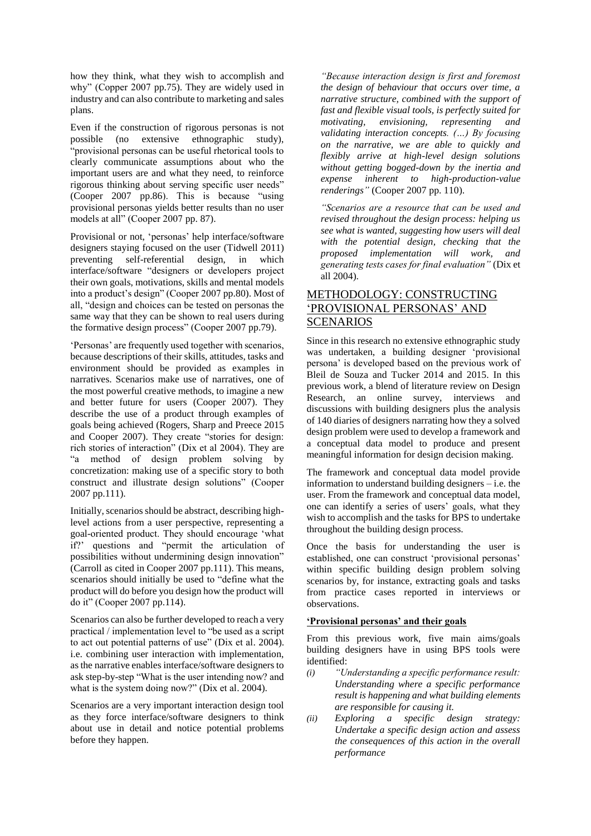how they think, what they wish to accomplish and why" (Copper 2007 pp.75). They are widely used in industry and can also contribute to marketing and sales plans.

Even if the construction of rigorous personas is not possible (no extensive ethnographic study), "provisional personas can be useful rhetorical tools to clearly communicate assumptions about who the important users are and what they need, to reinforce rigorous thinking about serving specific user needs" (Cooper 2007 pp.86). This is because "using provisional personas yields better results than no user models at all" (Cooper 2007 pp. 87).

Provisional or not, 'personas' help interface/software designers staying focused on the user (Tidwell 2011) preventing self-referential design, in which interface/software "designers or developers project their own goals, motivations, skills and mental models into a product's design" (Cooper 2007 pp.80). Most of all, "design and choices can be tested on personas the same way that they can be shown to real users during the formative design process" (Cooper 2007 pp.79).

'Personas' are frequently used together with scenarios, because descriptions of their skills, attitudes, tasks and environment should be provided as examples in narratives. Scenarios make use of narratives, one of the most powerful creative methods, to imagine a new and better future for users (Cooper 2007). They describe the use of a product through examples of goals being achieved (Rogers, Sharp and Preece 2015 and Cooper 2007). They create "stories for design: rich stories of interaction" (Dix et al 2004). They are "a method of design problem solving by concretization: making use of a specific story to both construct and illustrate design solutions" (Cooper 2007 pp.111).

Initially, scenarios should be abstract, describing highlevel actions from a user perspective, representing a goal-oriented product. They should encourage 'what if?' questions and "permit the articulation of possibilities without undermining design innovation" (Carroll as cited in Cooper 2007 pp.111). This means, scenarios should initially be used to "define what the product will do before you design how the product will do it" (Cooper 2007 pp.114).

Scenarios can also be further developed to reach a very practical / implementation level to "be used as a script to act out potential patterns of use" (Dix et al. 2004). i.e. combining user interaction with implementation, as the narrative enables interface/software designers to ask step-by-step "What is the user intending now? and what is the system doing now?" (Dix et al. 2004).

Scenarios are a very important interaction design tool as they force interface/software designers to think about use in detail and notice potential problems before they happen.

*"Because interaction design is first and foremost the design of behaviour that occurs over time, a narrative structure, combined with the support of fast and flexible visual tools, is perfectly suited for motivating, envisioning, representing and validating interaction concepts. (…) By focusing on the narrative, we are able to quickly and flexibly arrive at high-level design solutions without getting bogged-down by the inertia and expense inherent to high-production-value renderings"* (Cooper 2007 pp. 110).

*"Scenarios are a resource that can be used and revised throughout the design process: helping us see what is wanted, suggesting how users will deal with the potential design, checking that the proposed implementation will work, and generating tests cases for final evaluation"* (Dix et all 2004).

## METHODOLOGY: CONSTRUCTING 'PROVISIONAL PERSONAS' AND SCENARIOS

Since in this research no extensive ethnographic study was undertaken, a building designer 'provisional persona' is developed based on the previous work of Bleil de Souza and Tucker 2014 and 2015. In this previous work, a blend of literature review on Design Research, an online survey, interviews and discussions with building designers plus the analysis of 140 diaries of designers narrating how they a solved design problem were used to develop a framework and a conceptual data model to produce and present meaningful information for design decision making.

The framework and conceptual data model provide information to understand building designers – i.e. the user. From the framework and conceptual data model, one can identify a series of users' goals, what they wish to accomplish and the tasks for BPS to undertake throughout the building design process.

Once the basis for understanding the user is established, one can construct 'provisional personas' within specific building design problem solving scenarios by, for instance, extracting goals and tasks from practice cases reported in interviews or observations.

#### **'Provisional personas' and their goals**

From this previous work, five main aims/goals building designers have in using BPS tools were identified:

- *(i) "Understanding a specific performance result: Understanding where a specific performance result is happening and what building elements are responsible for causing it.*
- *(ii) Exploring a specific design strategy: Undertake a specific design action and assess the consequences of this action in the overall performance*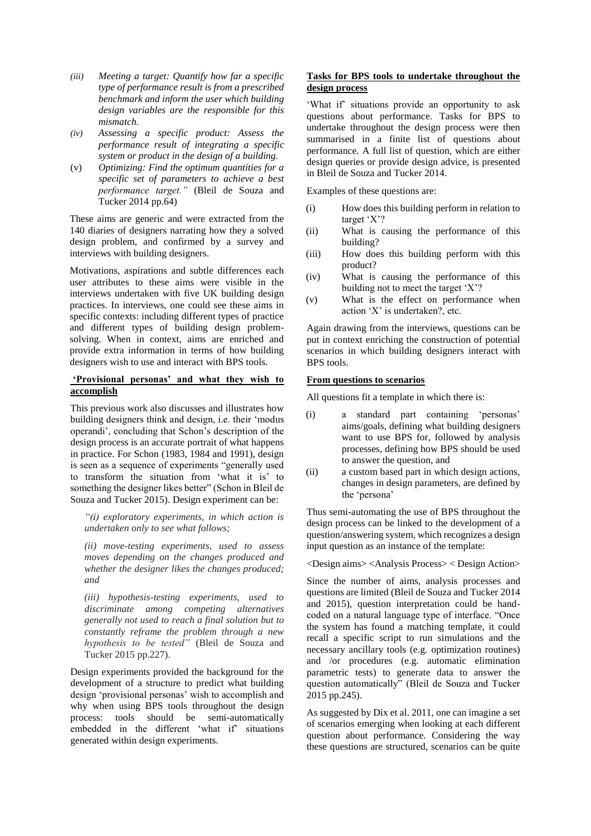- *(iii) Meeting a target: Quantify how far a specific type of performance result is from a prescribed benchmark and inform the user which building design variables are the responsible for this mismatch.*
- *(iv) Assessing a specific product: Assess the performance result of integrating a specific system or product in the design of a building.*
- (v) *Optimizing: Find the optimum quantities for a specific set of parameters to achieve a best performance target."* (Bleil de Souza and Tucker 2014 pp.64)

These aims are generic and were extracted from the 140 diaries of designers narrating how they a solved design problem, and confirmed by a survey and interviews with building designers.

Motivations, aspirations and subtle differences each user attributes to these aims were visible in the interviews undertaken with five UK building design practices. In interviews, one could see these aims in specific contexts: including different types of practice and different types of building design problemsolving. When in context, aims are enriched and provide extra information in terms of how building designers wish to use and interact with BPS tools.

#### **'Provisional personas' and what they wish to accomplish**

This previous work also discusses and illustrates how building designers think and design, i.e. their 'modus operandi', concluding that Schon's description of the design process is an accurate portrait of what happens in practice. For Schon (1983, 1984 and 1991), design is seen as a sequence of experiments "generally used to transform the situation from 'what it is' to something the designer likes better" (Schon in Bleil de Souza and Tucker 2015). Design experiment can be:

*"(i) exploratory experiments, in which action is undertaken only to see what follows;* 

*(ii) move-testing experiments, used to assess moves depending on the changes produced and whether the designer likes the changes produced; and* 

*(iii) hypothesis-testing experiments, used to discriminate among competing alternatives generally not used to reach a final solution but to constantly reframe the problem through a new hypothesis to be tested"* (Bleil de Souza and Tucker 2015 pp.227).

Design experiments provided the background for the development of a structure to predict what building design 'provisional personas' wish to accomplish and why when using BPS tools throughout the design process: tools should be semi-automatically embedded in the different 'what if' situations generated within design experiments.

### **Tasks for BPS tools to undertake throughout the design process**

'What if' situations provide an opportunity to ask questions about performance. Tasks for BPS to undertake throughout the design process were then summarised in a finite list of questions about performance. A full list of question, which are either design queries or provide design advice, is presented in Bleil de Souza and Tucker 2014.

Examples of these questions are:

- (i) How does this building perform in relation to target 'X'?
- (ii) What is causing the performance of this building?
- (iii) How does this building perform with this product?
- (iv) What is causing the performance of this building not to meet the target 'X'?
- (v) What is the effect on performance when action 'X' is undertaken?, etc.

Again drawing from the interviews, questions can be put in context enriching the construction of potential scenarios in which building designers interact with BPS tools.

#### **From questions to scenarios**

All questions fit a template in which there is:

- (i) a standard part containing 'personas' aims/goals, defining what building designers want to use BPS for, followed by analysis processes, defining how BPS should be used to answer the question, and
- (ii) a custom based part in which design actions, changes in design parameters, are defined by the 'persona'

Thus semi-automating the use of BPS throughout the design process can be linked to the development of a question/answering system, which recognizes a design input question as an instance of the template:

<Design aims> <Analysis Process> < Design Action>

Since the number of aims, analysis processes and questions are limited (Bleil de Souza and Tucker 2014 and 2015), question interpretation could be handcoded on a natural language type of interface. "Once the system has found a matching template, it could recall a specific script to run simulations and the necessary ancillary tools (e.g. optimization routines) and /or procedures (e.g. automatic elimination parametric tests) to generate data to answer the question automatically" (Bleil de Souza and Tucker 2015 pp.245).

As suggested by Dix et al. 2011, one can imagine a set of scenarios emerging when looking at each different question about performance. Considering the way these questions are structured, scenarios can be quite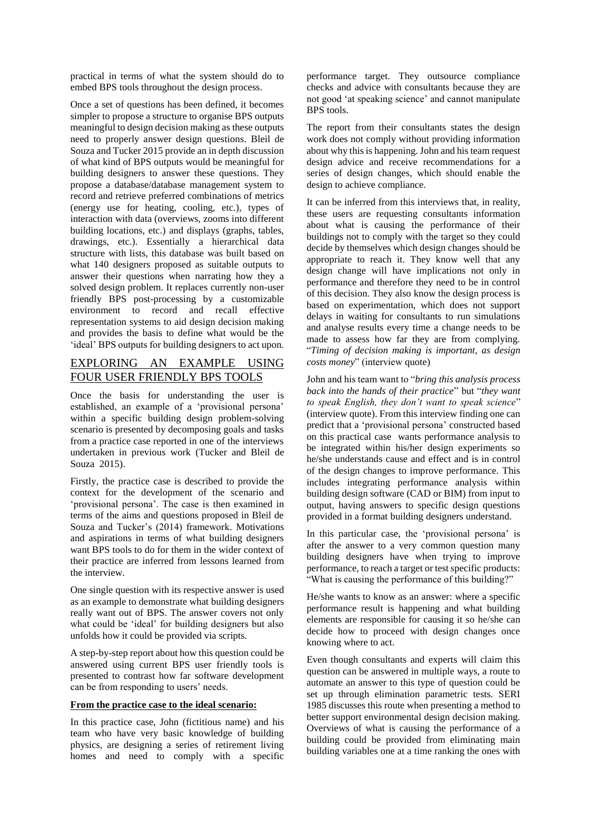practical in terms of what the system should do to embed BPS tools throughout the design process.

Once a set of questions has been defined, it becomes simpler to propose a structure to organise BPS outputs meaningful to design decision making as these outputs need to properly answer design questions. Bleil de Souza and Tucker 2015 provide an in depth discussion of what kind of BPS outputs would be meaningful for building designers to answer these questions. They propose a database/database management system to record and retrieve preferred combinations of metrics (energy use for heating, cooling, etc.), types of interaction with data (overviews, zooms into different building locations, etc.) and displays (graphs, tables, drawings, etc.). Essentially a hierarchical data structure with lists, this database was built based on what 140 designers proposed as suitable outputs to answer their questions when narrating how they a solved design problem. It replaces currently non-user friendly BPS post-processing by a customizable environment to record and recall effective representation systems to aid design decision making and provides the basis to define what would be the 'ideal' BPS outputs for building designers to act upon.

## EXPLORING AN EXAMPLE USING FOUR USER FRIENDLY BPS TOOLS

Once the basis for understanding the user is established, an example of a 'provisional persona' within a specific building design problem-solving scenario is presented by decomposing goals and tasks from a practice case reported in one of the interviews undertaken in previous work (Tucker and Bleil de Souza 2015).

Firstly, the practice case is described to provide the context for the development of the scenario and 'provisional persona'. The case is then examined in terms of the aims and questions proposed in Bleil de Souza and Tucker's (2014) framework. Motivations and aspirations in terms of what building designers want BPS tools to do for them in the wider context of their practice are inferred from lessons learned from the interview.

One single question with its respective answer is used as an example to demonstrate what building designers really want out of BPS. The answer covers not only what could be 'ideal' for building designers but also unfolds how it could be provided via scripts.

A step-by-step report about how this question could be answered using current BPS user friendly tools is presented to contrast how far software development can be from responding to users' needs.

#### **From the practice case to the ideal scenario:**

In this practice case, John (fictitious name) and his team who have very basic knowledge of building physics, are designing a series of retirement living homes and need to comply with a specific performance target. They outsource compliance checks and advice with consultants because they are not good 'at speaking science' and cannot manipulate BPS tools.

The report from their consultants states the design work does not comply without providing information about why this is happening. John and his team request design advice and receive recommendations for a series of design changes, which should enable the design to achieve compliance.

It can be inferred from this interviews that, in reality, these users are requesting consultants information about what is causing the performance of their buildings not to comply with the target so they could decide by themselves which design changes should be appropriate to reach it. They know well that any design change will have implications not only in performance and therefore they need to be in control of this decision. They also know the design process is based on experimentation, which does not support delays in waiting for consultants to run simulations and analyse results every time a change needs to be made to assess how far they are from complying. "*Timing of decision making is important, as design costs money*" (interview quote)

John and his team want to "*bring this analysis process back into the hands of their practice*" but "*they want to speak English, they don't want to speak science*" (interview quote). From this interview finding one can predict that a 'provisional persona' constructed based on this practical case wants performance analysis to be integrated within his/her design experiments so he/she understands cause and effect and is in control of the design changes to improve performance. This includes integrating performance analysis within building design software (CAD or BIM) from input to output, having answers to specific design questions provided in a format building designers understand.

In this particular case, the 'provisional persona' is after the answer to a very common question many building designers have when trying to improve performance, to reach a target or test specific products: "What is causing the performance of this building?"

He/she wants to know as an answer: where a specific performance result is happening and what building elements are responsible for causing it so he/she can decide how to proceed with design changes once knowing where to act.

Even though consultants and experts will claim this question can be answered in multiple ways, a route to automate an answer to this type of question could be set up through elimination parametric tests. SERI 1985 discusses this route when presenting a method to better support environmental design decision making. Overviews of what is causing the performance of a building could be provided from eliminating main building variables one at a time ranking the ones with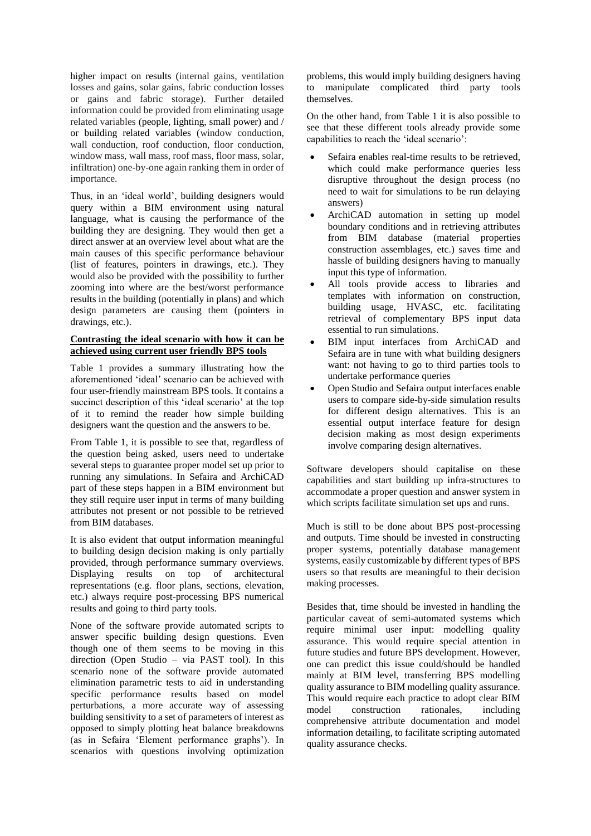higher impact on results (internal gains, ventilation losses and gains, solar gains, fabric conduction losses or gains and fabric storage). Further detailed information could be provided from eliminating usage related variables (people, lighting, small power) and / or building related variables (window conduction, wall conduction, roof conduction, floor conduction, window mass, wall mass, roof mass, floor mass, solar, infiltration) one-by-one again ranking them in order of importance.

Thus, in an 'ideal world', building designers would query within a BIM environment using natural language, what is causing the performance of the building they are designing. They would then get a direct answer at an overview level about what are the main causes of this specific performance behaviour (list of features, pointers in drawings, etc.). They would also be provided with the possibility to further zooming into where are the best/worst performance results in the building (potentially in plans) and which design parameters are causing them (pointers in drawings, etc.).

### **Contrasting the ideal scenario with how it can be achieved using current user friendly BPS tools**

Table 1 provides a summary illustrating how the aforementioned 'ideal' scenario can be achieved with four user-friendly mainstream BPS tools. It contains a succinct description of this 'ideal scenario' at the top of it to remind the reader how simple building designers want the question and the answers to be.

From Table 1, it is possible to see that, regardless of the question being asked, users need to undertake several steps to guarantee proper model set up prior to running any simulations. In Sefaira and ArchiCAD part of these steps happen in a BIM environment but they still require user input in terms of many building attributes not present or not possible to be retrieved from BIM databases.

It is also evident that output information meaningful to building design decision making is only partially provided, through performance summary overviews. Displaying results on top of architectural representations (e.g. floor plans, sections, elevation, etc.) always require post-processing BPS numerical results and going to third party tools.

None of the software provide automated scripts to answer specific building design questions. Even though one of them seems to be moving in this direction (Open Studio – via PAST tool). In this scenario none of the software provide automated elimination parametric tests to aid in understanding specific performance results based on model perturbations, a more accurate way of assessing building sensitivity to a set of parameters of interest as opposed to simply plotting heat balance breakdowns (as in Sefaira 'Element performance graphs'). In scenarios with questions involving optimization

problems, this would imply building designers having to manipulate complicated third party tools themselves.

On the other hand, from Table 1 it is also possible to see that these different tools already provide some capabilities to reach the 'ideal scenario':

- Sefaira enables real-time results to be retrieved, which could make performance queries less disruptive throughout the design process (no need to wait for simulations to be run delaying answers)
- ArchiCAD automation in setting up model boundary conditions and in retrieving attributes from BIM database (material properties construction assemblages, etc.) saves time and hassle of building designers having to manually input this type of information.
- All tools provide access to libraries and templates with information on construction, building usage, HVASC, etc. facilitating retrieval of complementary BPS input data essential to run simulations.
- BIM input interfaces from ArchiCAD and Sefaira are in tune with what building designers want: not having to go to third parties tools to undertake performance queries
- Open Studio and Sefaira output interfaces enable users to compare side-by-side simulation results for different design alternatives. This is an essential output interface feature for design decision making as most design experiments involve comparing design alternatives.

Software developers should capitalise on these capabilities and start building up infra-structures to accommodate a proper question and answer system in which scripts facilitate simulation set ups and runs.

Much is still to be done about BPS post-processing and outputs. Time should be invested in constructing proper systems, potentially database management systems, easily customizable by different types of BPS users so that results are meaningful to their decision making processes.

Besides that, time should be invested in handling the particular caveat of semi-automated systems which require minimal user input: modelling quality assurance. This would require special attention in future studies and future BPS development. However, one can predict this issue could/should be handled mainly at BIM level, transferring BPS modelling quality assurance to BIM modelling quality assurance. This would require each practice to adopt clear BIM model construction rationales, including comprehensive attribute documentation and model information detailing, to facilitate scripting automated quality assurance checks.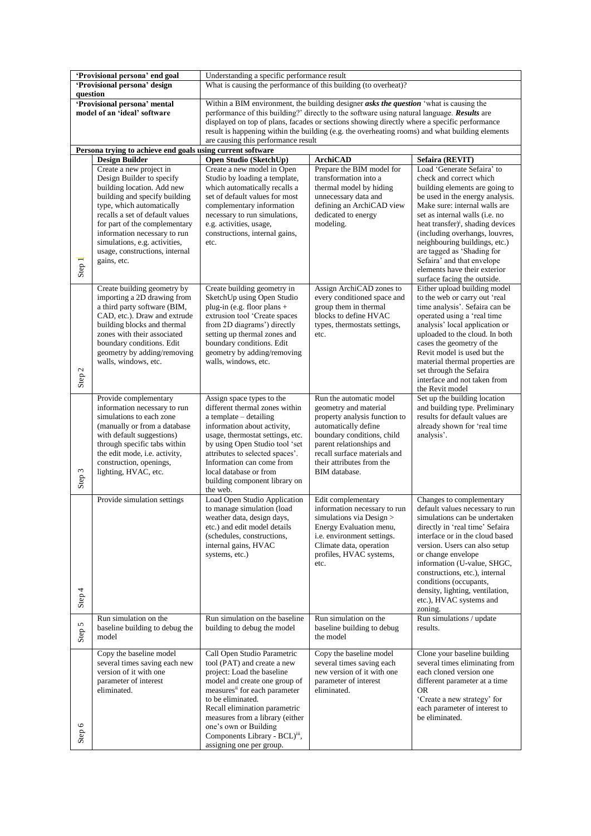| 'Provisional persona' end goal                                                                    |                                                               | Understanding a specific performance result                                                                                                                                                  |                                                          |                                                                    |  |  |
|---------------------------------------------------------------------------------------------------|---------------------------------------------------------------|----------------------------------------------------------------------------------------------------------------------------------------------------------------------------------------------|----------------------------------------------------------|--------------------------------------------------------------------|--|--|
| 'Provisional persona' design                                                                      |                                                               | What is causing the performance of this building (to overheat)?                                                                                                                              |                                                          |                                                                    |  |  |
| question                                                                                          |                                                               |                                                                                                                                                                                              |                                                          |                                                                    |  |  |
| 'Provisional persona' mental<br>model of an 'ideal' software                                      |                                                               | Within a BIM environment, the building designer asks the question 'what is causing the<br>performance of this building?' directly to the software using natural language. <b>Results</b> are |                                                          |                                                                    |  |  |
|                                                                                                   |                                                               | displayed on top of plans, facades or sections showing directly where a specific performance                                                                                                 |                                                          |                                                                    |  |  |
|                                                                                                   |                                                               | result is happening within the building (e.g. the overheating rooms) and what building elements                                                                                              |                                                          |                                                                    |  |  |
| are causing this performance result<br>Persona trying to achieve end goals using current software |                                                               |                                                                                                                                                                                              |                                                          |                                                                    |  |  |
|                                                                                                   | <b>Design Builder</b>                                         | Open Studio (SketchUp)                                                                                                                                                                       | <b>ArchiCAD</b>                                          | Sefaira (REVIT)                                                    |  |  |
|                                                                                                   | Create a new project in                                       | Create a new model in Open                                                                                                                                                                   | Prepare the BIM model for                                | Load 'Generate Sefaira' to                                         |  |  |
|                                                                                                   | Design Builder to specify                                     | Studio by loading a template,                                                                                                                                                                | transformation into a                                    | check and correct which                                            |  |  |
|                                                                                                   | building location. Add new                                    | which automatically recalls a<br>set of default values for most                                                                                                                              | thermal model by hiding                                  | building elements are going to                                     |  |  |
|                                                                                                   | building and specify building<br>type, which automatically    | complementary information                                                                                                                                                                    | unnecessary data and<br>defining an ArchiCAD view        | be used in the energy analysis.<br>Make sure: internal walls are   |  |  |
|                                                                                                   | recalls a set of default values                               | necessary to run simulations,                                                                                                                                                                | dedicated to energy                                      | set as internal walls (i.e. no                                     |  |  |
|                                                                                                   | for part of the complementary                                 | e.g. activities, usage,                                                                                                                                                                      | modeling.                                                | heat transfer) <sup>i</sup> , shading devices                      |  |  |
|                                                                                                   | information necessary to run<br>simulations, e.g. activities, | constructions, internal gains,<br>etc.                                                                                                                                                       |                                                          | (including overhangs, louvres,<br>neighbouring buildings, etc.)    |  |  |
|                                                                                                   | usage, constructions, internal                                |                                                                                                                                                                                              |                                                          | are tagged as 'Shading for                                         |  |  |
|                                                                                                   | gains, etc.                                                   |                                                                                                                                                                                              |                                                          | Sefaira' and that envelope                                         |  |  |
| Step 1                                                                                            |                                                               |                                                                                                                                                                                              |                                                          | elements have their exterior                                       |  |  |
|                                                                                                   |                                                               |                                                                                                                                                                                              |                                                          | surface facing the outside.<br>Either upload building model        |  |  |
|                                                                                                   | Create building geometry by<br>importing a 2D drawing from    | Create building geometry in<br>SketchUp using Open Studio                                                                                                                                    | Assign ArchiCAD zones to<br>every conditioned space and  | to the web or carry out 'real                                      |  |  |
|                                                                                                   | a third party software (BIM,                                  | plug-in (e.g. floor plans +                                                                                                                                                                  | group them in thermal                                    | time analysis'. Sefaira can be                                     |  |  |
|                                                                                                   | CAD, etc.). Draw and extrude                                  | extrusion tool 'Create spaces                                                                                                                                                                | blocks to define HVAC                                    | operated using a 'real time                                        |  |  |
|                                                                                                   | building blocks and thermal<br>zones with their associated    | from 2D diagrams') directly<br>setting up thermal zones and                                                                                                                                  | types, thermostats settings,<br>etc.                     | analysis' local application or<br>uploaded to the cloud. In both   |  |  |
|                                                                                                   | boundary conditions. Edit                                     | boundary conditions. Edit                                                                                                                                                                    |                                                          | cases the geometry of the                                          |  |  |
|                                                                                                   | geometry by adding/removing                                   | geometry by adding/removing                                                                                                                                                                  |                                                          | Revit model is used but the                                        |  |  |
|                                                                                                   | walls, windows, etc.                                          | walls, windows, etc.                                                                                                                                                                         |                                                          | material thermal properties are                                    |  |  |
| Step <sub>2</sub>                                                                                 |                                                               |                                                                                                                                                                                              |                                                          | set through the Sefaira<br>interface and not taken from            |  |  |
|                                                                                                   |                                                               |                                                                                                                                                                                              |                                                          | the Revit model                                                    |  |  |
|                                                                                                   | Provide complementary                                         | Assign space types to the                                                                                                                                                                    | Run the automatic model                                  | Set up the building location                                       |  |  |
|                                                                                                   | information necessary to run<br>simulations to each zone      | different thermal zones within<br>a template – detailing                                                                                                                                     | geometry and material<br>property analysis function to   | and building type. Preliminary<br>results for default values are   |  |  |
|                                                                                                   | (manually or from a database)                                 | information about activity,                                                                                                                                                                  | automatically define                                     | already shown for 'real time                                       |  |  |
|                                                                                                   | with default suggestions)                                     | usage, thermostat settings, etc.                                                                                                                                                             | boundary conditions, child                               | analysis'.                                                         |  |  |
|                                                                                                   | through specific tabs within<br>the edit mode, i.e. activity, | by using Open Studio tool 'set<br>attributes to selected spaces'.                                                                                                                            | parent relationships and<br>recall surface materials and |                                                                    |  |  |
|                                                                                                   | construction, openings,                                       | Information can come from                                                                                                                                                                    | their attributes from the                                |                                                                    |  |  |
|                                                                                                   | lighting, HVAC, etc.                                          | local database or from                                                                                                                                                                       | BIM database.                                            |                                                                    |  |  |
| Step 3                                                                                            |                                                               | building component library on                                                                                                                                                                |                                                          |                                                                    |  |  |
|                                                                                                   | Provide simulation settings                                   | the web.<br>Load Open Studio Application                                                                                                                                                     | Edit complementary                                       | Changes to complementary                                           |  |  |
|                                                                                                   |                                                               | to manage simulation (load                                                                                                                                                                   | information necessary to run                             | default values necessary to run                                    |  |  |
|                                                                                                   |                                                               | weather data, design days,                                                                                                                                                                   | simulations via Design >                                 | simulations can be undertaken                                      |  |  |
|                                                                                                   |                                                               | etc.) and edit model details<br>(schedules, constructions,                                                                                                                                   | Energy Evaluation menu,<br>i.e. environment settings.    | directly in 'real time' Sefaira<br>interface or in the cloud based |  |  |
|                                                                                                   |                                                               | internal gains, HVAC                                                                                                                                                                         | Climate data, operation                                  | version. Users can also setup                                      |  |  |
|                                                                                                   |                                                               | systems, etc.)                                                                                                                                                                               | profiles, HVAC systems,                                  | or change envelope                                                 |  |  |
|                                                                                                   |                                                               |                                                                                                                                                                                              | etc.                                                     | information (U-value, SHGC,                                        |  |  |
|                                                                                                   |                                                               |                                                                                                                                                                                              |                                                          | constructions, etc.), internal<br>conditions (occupants,           |  |  |
|                                                                                                   |                                                               |                                                                                                                                                                                              |                                                          | density, lighting, ventilation,                                    |  |  |
| Step 4                                                                                            |                                                               |                                                                                                                                                                                              |                                                          | etc.), HVAC systems and                                            |  |  |
|                                                                                                   |                                                               |                                                                                                                                                                                              |                                                          | zoning.                                                            |  |  |
|                                                                                                   | Run simulation on the<br>baseline building to debug the       | Run simulation on the baseline<br>building to debug the model                                                                                                                                | Run simulation on the<br>baseline building to debug      | Run simulations / update<br>results.                               |  |  |
| Step 5                                                                                            | model                                                         |                                                                                                                                                                                              | the model                                                |                                                                    |  |  |
|                                                                                                   | Copy the baseline model                                       | Call Open Studio Parametric                                                                                                                                                                  | Copy the baseline model                                  | Clone your baseline building                                       |  |  |
|                                                                                                   | several times saving each new                                 | tool (PAT) and create a new                                                                                                                                                                  | several times saving each                                | several times eliminating from                                     |  |  |
|                                                                                                   | version of it with one                                        | project: Load the baseline                                                                                                                                                                   | new version of it with one                               | each cloned version one                                            |  |  |
|                                                                                                   | parameter of interest                                         | model and create one group of                                                                                                                                                                | parameter of interest                                    | different parameter at a time                                      |  |  |
|                                                                                                   | eliminated.                                                   | measures <sup>ii</sup> for each parameter<br>to be eliminated.                                                                                                                               | eliminated.                                              | OR.<br>'Create a new strategy' for                                 |  |  |
|                                                                                                   |                                                               | Recall elimination parametric                                                                                                                                                                |                                                          | each parameter of interest to                                      |  |  |
|                                                                                                   |                                                               | measures from a library (either                                                                                                                                                              |                                                          | be eliminated.                                                     |  |  |
| Step 6                                                                                            |                                                               | one's own or Building                                                                                                                                                                        |                                                          |                                                                    |  |  |
|                                                                                                   |                                                               | Components Library - BCL)iii,<br>assigning one per group.                                                                                                                                    |                                                          |                                                                    |  |  |
|                                                                                                   |                                                               |                                                                                                                                                                                              |                                                          |                                                                    |  |  |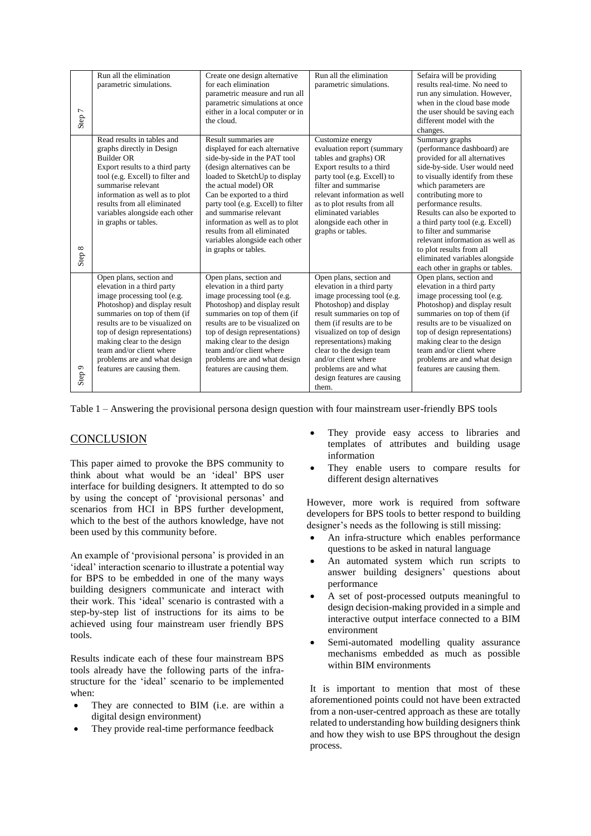| Step 7 | Run all the elimination<br>parametric simulations.                                                                                                                                                                                                                                                                                                 | Create one design alternative<br>for each elimination<br>parametric measure and run all<br>parametric simulations at once<br>either in a local computer or in<br>the cloud.                                                                                                                                                                                                                             | Run all the elimination<br>parametric simulations.                                                                                                                                                                                                                                                                                                       | Sefaira will be providing<br>results real-time. No need to<br>run any simulation. However,<br>when in the cloud base mode<br>the user should be saving each<br>different model with the<br>changes.                                                                                                                                                                                                                                                              |
|--------|----------------------------------------------------------------------------------------------------------------------------------------------------------------------------------------------------------------------------------------------------------------------------------------------------------------------------------------------------|---------------------------------------------------------------------------------------------------------------------------------------------------------------------------------------------------------------------------------------------------------------------------------------------------------------------------------------------------------------------------------------------------------|----------------------------------------------------------------------------------------------------------------------------------------------------------------------------------------------------------------------------------------------------------------------------------------------------------------------------------------------------------|------------------------------------------------------------------------------------------------------------------------------------------------------------------------------------------------------------------------------------------------------------------------------------------------------------------------------------------------------------------------------------------------------------------------------------------------------------------|
| Step 8 | Read results in tables and<br>graphs directly in Design<br><b>Builder OR</b><br>Export results to a third party<br>tool (e.g. Excell) to filter and<br>summarise relevant<br>information as well as to plot<br>results from all eliminated<br>variables alongside each other<br>in graphs or tables.                                               | Result summaries are<br>displayed for each alternative<br>side-by-side in the PAT tool<br>(design alternatives can be<br>loaded to SketchUp to display<br>the actual model) OR<br>Can be exported to a third<br>party tool (e.g. Excell) to filter<br>and summarise relevant<br>information as well as to plot<br>results from all eliminated<br>variables alongside each other<br>in graphs or tables. | Customize energy<br>evaluation report (summary<br>tables and graphs) OR<br>Export results to a third<br>party tool (e.g. Excell) to<br>filter and summarise<br>relevant information as well<br>as to plot results from all<br>eliminated variables<br>alongside each other in<br>graphs or tables.                                                       | Summary graphs<br>(performance dashboard) are<br>provided for all alternatives<br>side-by-side. User would need<br>to visually identify from these<br>which parameters are<br>contributing more to<br>performance results.<br>Results can also be exported to<br>a third party tool (e.g. Excell)<br>to filter and summarise<br>relevant information as well as<br>to plot results from all<br>eliminated variables alongside<br>each other in graphs or tables. |
| Step 9 | Open plans, section and<br>elevation in a third party<br>image processing tool (e.g.<br>Photoshop) and display result<br>summaries on top of them (if<br>results are to be visualized on<br>top of design representations)<br>making clear to the design<br>team and/or client where<br>problems are and what design<br>features are causing them. | Open plans, section and<br>elevation in a third party<br>image processing tool (e.g.<br>Photoshop) and display result<br>summaries on top of them (if<br>results are to be visualized on<br>top of design representations)<br>making clear to the design<br>team and/or client where<br>problems are and what design<br>features are causing them.                                                      | Open plans, section and<br>elevation in a third party<br>image processing tool (e.g.<br>Photoshop) and display<br>result summaries on top of<br>them (if results are to be<br>visualized on top of design<br>representations) making<br>clear to the design team<br>and/or client where<br>problems are and what<br>design features are causing<br>them. | Open plans, section and<br>elevation in a third party<br>image processing tool (e.g.<br>Photoshop) and display result<br>summaries on top of them (if<br>results are to be visualized on<br>top of design representations)<br>making clear to the design<br>team and/or client where<br>problems are and what design<br>features are causing them.                                                                                                               |

Table 1 – Answering the provisional persona design question with four mainstream user-friendly BPS tools

## **CONCLUSION**

This paper aimed to provoke the BPS community to think about what would be an 'ideal' BPS user interface for building designers. It attempted to do so by using the concept of 'provisional personas' and scenarios from HCI in BPS further development, which to the best of the authors knowledge, have not been used by this community before.

An example of 'provisional persona' is provided in an 'ideal' interaction scenario to illustrate a potential way for BPS to be embedded in one of the many ways building designers communicate and interact with their work. This 'ideal' scenario is contrasted with a step-by-step list of instructions for its aims to be achieved using four mainstream user friendly BPS tools.

Results indicate each of these four mainstream BPS tools already have the following parts of the infrastructure for the 'ideal' scenario to be implemented when:

- They are connected to BIM (i.e. are within a digital design environment)
- They provide real-time performance feedback
- They provide easy access to libraries and templates of attributes and building usage information
- They enable users to compare results for different design alternatives

However, more work is required from software developers for BPS tools to better respond to building designer's needs as the following is still missing:

- An infra-structure which enables performance questions to be asked in natural language
- An automated system which run scripts to answer building designers' questions about performance
- A set of post-processed outputs meaningful to design decision-making provided in a simple and interactive output interface connected to a BIM environment
- Semi-automated modelling quality assurance mechanisms embedded as much as possible within BIM environments

It is important to mention that most of these aforementioned points could not have been extracted from a non-user-centred approach as these are totally related to understanding how building designers think and how they wish to use BPS throughout the design process.